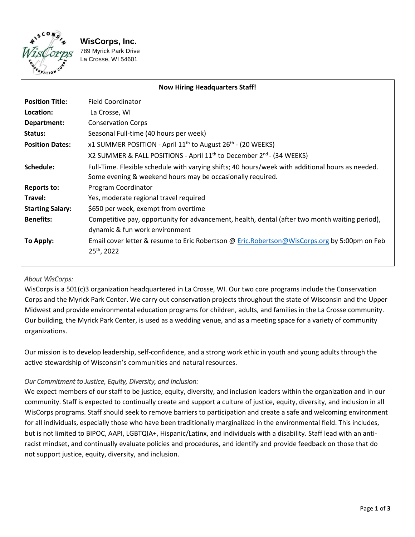

**WisCorps, Inc.** 

789 Myrick Park Drive La Crosse, WI 54601

| <b>Now Hiring Headquarters Staff!</b> |                                                                                                  |
|---------------------------------------|--------------------------------------------------------------------------------------------------|
| <b>Position Title:</b>                | Field Coordinator                                                                                |
| Location:                             | La Crosse, WI                                                                                    |
| Department:                           | <b>Conservation Corps</b>                                                                        |
| Status:                               | Seasonal Full-time (40 hours per week)                                                           |
| <b>Position Dates:</b>                | x1 SUMMER POSITION - April 11 <sup>th</sup> to August 26 <sup>th</sup> - (20 WEEKS)              |
|                                       | X2 SUMMER & FALL POSITIONS - April $11th$ to December $2nd$ - (34 WEEKS)                         |
| Schedule:                             | Full-Time. Flexible schedule with varying shifts; 40 hours/week with additional hours as needed. |
|                                       | Some evening & weekend hours may be occasionally required.                                       |
| <b>Reports to:</b>                    | Program Coordinator                                                                              |
| Travel:                               | Yes, moderate regional travel required                                                           |
| <b>Starting Salary:</b>               | \$650 per week, exempt from overtime                                                             |
| <b>Benefits:</b>                      | Competitive pay, opportunity for advancement, health, dental (after two month waiting period),   |
|                                       | dynamic & fun work environment                                                                   |
| To Apply:                             | Email cover letter & resume to Eric Robertson @ Eric.Robertson@WisCorps.org by 5:00pm on Feb     |
|                                       | 25 <sup>th</sup> , 2022                                                                          |
|                                       |                                                                                                  |

# *About WisCorps:*

WisCorps is a 501(c)3 organization headquartered in La Crosse, WI. Our two core programs include the Conservation Corps and the Myrick Park Center. We carry out conservation projects throughout the state of Wisconsin and the Upper Midwest and provide environmental education programs for children, adults, and families in the La Crosse community. Our building, the Myrick Park Center, is used as a wedding venue, and as a meeting space for a variety of community organizations.

Our mission is to develop leadership, self-confidence, and a strong work ethic in youth and young adults through the active stewardship of Wisconsin's communities and natural resources.

#### *Our Commitment to Justice, Equity, Diversity, and Inclusion:*

We expect members of our staff to be justice, equity, diversity, and inclusion leaders within the organization and in our community. Staff is expected to continually create and support a culture of justice, equity, diversity, and inclusion in all WisCorps programs. Staff should seek to remove barriers to participation and create a safe and welcoming environment for all individuals, especially those who have been traditionally marginalized in the environmental field. This includes, but is not limited to BIPOC, AAPI, LGBTQIA+, Hispanic/Latinx, and individuals with a disability. Staff lead with an antiracist mindset, and continually evaluate policies and procedures, and identify and provide feedback on those that do not support justice, equity, diversity, and inclusion.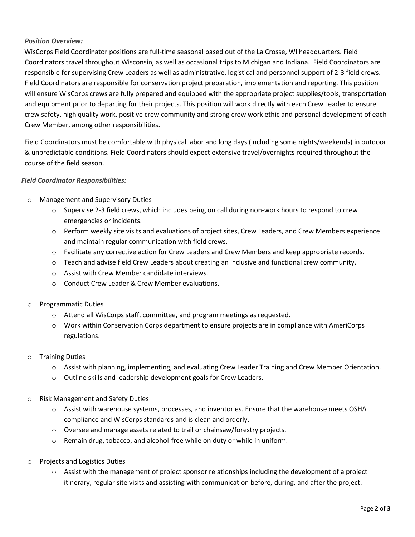# *Position Overview:*

WisCorps Field Coordinator positions are full-time seasonal based out of the La Crosse, WI headquarters. Field Coordinators travel throughout Wisconsin, as well as occasional trips to Michigan and Indiana. Field Coordinators are responsible for supervising Crew Leaders as well as administrative, logistical and personnel support of 2-3 field crews. Field Coordinators are responsible for conservation project preparation, implementation and reporting. This position will ensure WisCorps crews are fully prepared and equipped with the appropriate project supplies/tools, transportation and equipment prior to departing for their projects. This position will work directly with each Crew Leader to ensure crew safety, high quality work, positive crew community and strong crew work ethic and personal development of each Crew Member, among other responsibilities.

Field Coordinators must be comfortable with physical labor and long days (including some nights/weekends) in outdoor & unpredictable conditions. Field Coordinators should expect extensive travel/overnights required throughout the course of the field season.

## *Field Coordinator Responsibilities:*

- o Management and Supervisory Duties
	- o Supervise 2-3 field crews, which includes being on call during non-work hours to respond to crew emergencies or incidents.
	- o Perform weekly site visits and evaluations of project sites, Crew Leaders, and Crew Members experience and maintain regular communication with field crews.
	- o Facilitate any corrective action for Crew Leaders and Crew Members and keep appropriate records.
	- o Teach and advise field Crew Leaders about creating an inclusive and functional crew community.
	- o Assist with Crew Member candidate interviews.
	- o Conduct Crew Leader & Crew Member evaluations.
- o Programmatic Duties
	- o Attend all WisCorps staff, committee, and program meetings as requested.
	- o Work within Conservation Corps department to ensure projects are in compliance with AmeriCorps regulations.
- o Training Duties
	- o Assist with planning, implementing, and evaluating Crew Leader Training and Crew Member Orientation.
	- o Outline skills and leadership development goals for Crew Leaders.
- o Risk Management and Safety Duties
	- o Assist with warehouse systems, processes, and inventories. Ensure that the warehouse meets OSHA compliance and WisCorps standards and is clean and orderly.
	- o Oversee and manage assets related to trail or chainsaw/forestry projects.
	- o Remain drug, tobacco, and alcohol-free while on duty or while in uniform.
- o Projects and Logistics Duties
	- $\circ$  Assist with the management of project sponsor relationships including the development of a project itinerary, regular site visits and assisting with communication before, during, and after the project.